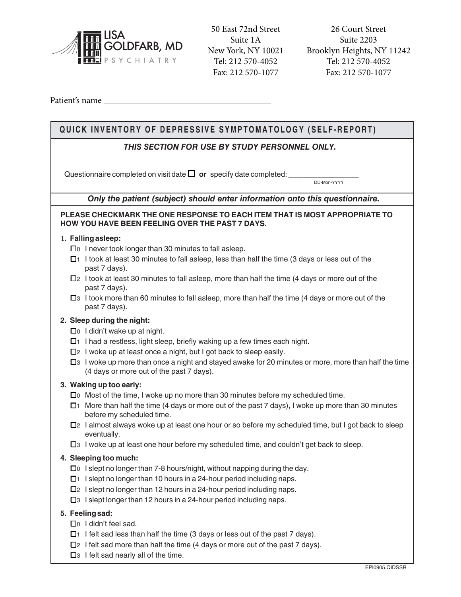

50 East 72nd Street Suite 1A New York, NY 10021 Tel: 212 570-4052 Fax: 212 570-1077

Tel: 212 570-4052 26 Court Street Suite 2203 Brooklyn Heights, NY 11242 Fax: 212 570-1077

Patient's name \_\_\_\_\_\_\_\_\_\_\_\_\_\_\_\_\_\_\_\_\_\_\_\_\_\_\_\_\_\_\_\_\_\_\_\_\_

 $\blacksquare$ 

| QUICK INVENTORY OF DEPRESSIVE SYMPTOMATOLOGY (SELF-REPORT)                                                                                             |  |  |
|--------------------------------------------------------------------------------------------------------------------------------------------------------|--|--|
| THIS SECTION FOR USE BY STUDY PERSONNEL ONLY.                                                                                                          |  |  |
| Questionnaire completed on visit date $\Box$ or specify date completed:<br>DD-Mon-YYYY                                                                 |  |  |
| Only the patient (subject) should enter information onto this questionnaire.                                                                           |  |  |
| PLEASE CHECKMARK THE ONE RESPONSE TO EACH ITEM THAT IS MOST APPROPRIATE TO<br>HOW YOU HAVE BEEN FEELING OVER THE PAST 7 DAYS.                          |  |  |
| 1. Falling asleep:                                                                                                                                     |  |  |
| $\square$ 1 never took longer than 30 minutes to fall as leep.                                                                                         |  |  |
| □1 I took at least 30 minutes to fall asleep, less than half the time (3 days or less out of the<br>past 7 days).                                      |  |  |
| $\Box$ 2 I took at least 30 minutes to fall asleep, more than half the time (4 days or more out of the<br>past 7 days).                                |  |  |
| $\Box$ 3 I took more than 60 minutes to fall asleep, more than half the time (4 days or more out of the<br>past 7 days).                               |  |  |
| 2. Sleep during the night:                                                                                                                             |  |  |
| $\square$ <sup>0</sup> I didn't wake up at night.                                                                                                      |  |  |
| $\Box$ 1 had a restless, light sleep, briefly waking up a few times each night.                                                                        |  |  |
| □2 I woke up at least once a night, but I got back to sleep easily.                                                                                    |  |  |
| $\Box$ 3 I woke up more than once a night and stayed awake for 20 minutes or more, more than half the time<br>(4 days or more out of the past 7 days). |  |  |
| 3. Waking up too early:                                                                                                                                |  |  |
| $\square$ Most of the time, I woke up no more than 30 minutes before my scheduled time.                                                                |  |  |
| $\Box$ 1 More than half the time (4 days or more out of the past 7 days), I woke up more than 30 minutes<br>before my scheduled time.                  |  |  |
| $\Box$ 2 I almost always woke up at least one hour or so before my scheduled time, but I got back to sleep<br>eventually.                              |  |  |
| $\square$ 3 I woke up at least one hour before my scheduled time, and couldn't get back to sleep.                                                      |  |  |
| 4. Sleeping too much:                                                                                                                                  |  |  |
| $\square$ I slept no longer than 7-8 hours/night, without napping during the day.                                                                      |  |  |
| $\Box$ 1 slept no longer than 10 hours in a 24-hour period including naps.                                                                             |  |  |
| $\Box$ 2 I slept no longer than 12 hours in a 24-hour period including naps.                                                                           |  |  |
| $\square$ 3 I slept longer than 12 hours in a 24-hour period including naps.                                                                           |  |  |
| 5. Feeling sad:                                                                                                                                        |  |  |
| □ I didn't feel sad.                                                                                                                                   |  |  |
| $\Box$ 1 felt sad less than half the time (3 days or less out of the past 7 days).                                                                     |  |  |
| $\Box$ ? I felt sad more than half the time (4 days or more out of the past 7 days).                                                                   |  |  |
| $\square$ 3 I felt sad nearly all of the time.                                                                                                         |  |  |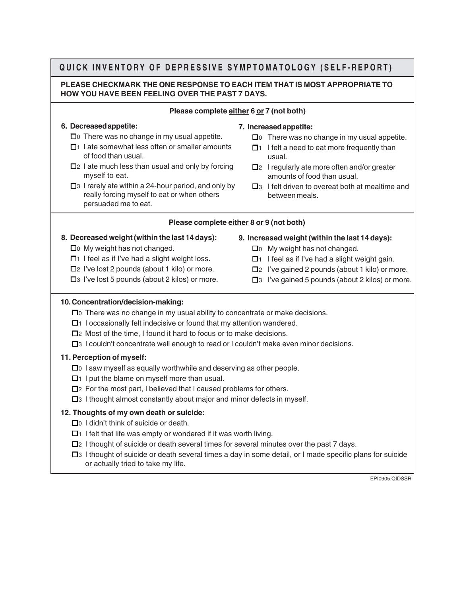## **QUICK INVENTORY OF DEPRESSIVE SYMPTOMATOLOGY (SELF-REPORT)**

## **PLEASE CHECKMARK THE ONE RESPONSE TO EACH ITEM THAT IS MOST APPROPRIATE TO HOW YOU HAVE BEEN FEELING OVER THE PAST 7 DAYS.**

#### **Please complete either 6 or 7 (not both)**

## **6. Decreased appetite:**

- $\square$  0 There was no change in my usual appetite.
- $\Box$ 1 I ate somewhat less often or smaller amounts of food than usual.
- $\Box$ 2 I ate much less than usual and only by forcing myself to eat.
- $\square$ 3 I rarely ate within a 24-hour period, and only by really forcing myself to eat or when others persuaded me to eat.
- **7. Increased appetite:**
	- $\Box$  0 There was no change in my usual appetite.
	- $\Box$ 1 I felt a need to eat more frequently than usual.
	- $\Box$ 2 I regularly ate more often and/or greater amounts of food than usual.
	- $\square$ 3 I felt driven to overeat both at mealtime and between meals.

## **Please complete either 8 or 9 (not both)**

- **8. Decreased weight (within the last 14 days):**
	- $\Box$  0 My weight has not changed.
	- $\Box$ 1 I feel as if I've had a slight weight loss.
	- $\Box$ 2 I've lost 2 pounds (about 1 kilo) or more.
	- $\square$ 3 I've lost 5 pounds (about 2 kilos) or more.
- **9. Increased weight (within the last 14 days):**
	- $\Box$  0 My weight has not changed.
	- $\Box$ 1 I feel as if I've had a slight weight gain.
	- $\Box$ 2 I've gained 2 pounds (about 1 kilo) or more.
	- $\square$ 3 I've gained 5 pounds (about 2 kilos) or more.

## **10. Concentration/decision-making:**

- $\Box$  There was no change in my usual ability to concentrate or make decisions.
- $\Box$ 1 I occasionally felt indecisive or found that my attention wandered.
- $\Box$  2 Most of the time, I found it hard to focus or to make decisions.
- □ 1 couldn't concentrate well enough to read or I couldn't make even minor decisions.

## **11. Perception of myself:**

- $\Box$  I saw myself as equally worthwhile and deserving as other people.
- $\Box$ 1 I put the blame on myself more than usual.
- $\Box$ ? For the most part, I believed that I caused problems for others.
- $\Box$ 3 I thought almost constantly about major and minor defects in myself.

## **12. Thoughts of my own death or suicide:**

- □ I didn't think of suicide or death.
- $\Box$  1 I felt that life was empty or wondered if it was worth living.
- $\Box$ 2 I thought of suicide or death several times for several minutes over the past 7 days.
- !3 I thought of suicide or death several times a day in some detail, or I made specific plans for suicide or actually tried to take my life.